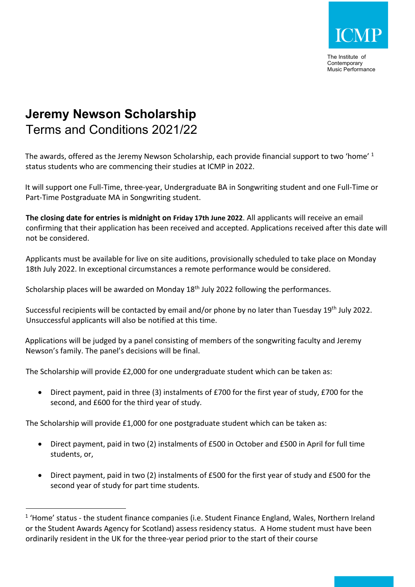

The Institute of **Contemporary** Music Performance

## **Jeremy Newson Scholarship**  Terms and Conditions 2021/22

The awards, offered as the Jeremy Newson Scholarship, each provide financial support to two 'home' 1 status students who are commencing their studies at ICMP in 2022.

It will support one Full-Time, three-year, Undergraduate BA in Songwriting student and one Full-Time or Part-Time Postgraduate MA in Songwriting student.

**The closing date for entries is midnight on Friday 17th June 2022**. All applicants will receive an email confirming that their application has been received and accepted. Applications received after this date will not be considered.

Applicants must be available for live on site auditions, provisionally scheduled to take place on Monday 18th July 2022. In exceptional circumstances a remote performance would be considered.

Scholarship places will be awarded on Monday 18<sup>th</sup> July 2022 following the performances.

Successful recipients will be contacted by email and/or phone by no later than Tuesday 19<sup>th</sup> July 2022. Unsuccessful applicants will also be notified at this time.

Applications will be judged by a panel consisting of members of the songwriting faculty and Jeremy Newson's family. The panel's decisions will be final.

The Scholarship will provide £2,000 for one undergraduate student which can be taken as:

• Direct payment, paid in three (3) instalments of £700 for the first year of study, £700 for the second, and £600 for the third year of study.

The Scholarship will provide £1,000 for one postgraduate student which can be taken as:

- Direct payment, paid in two (2) instalments of £500 in October and £500 in April for full time students, or,
- Direct payment, paid in two (2) instalments of £500 for the first year of study and £500 for the second year of study for part time students.

 $1$  'Home' status - the student finance companies (i.e. Student Finance England, Wales, Northern Ireland or the Student Awards Agency for Scotland) assess residency status. A Home student must have been ordinarily resident in the UK for the three-year period prior to the start of their course